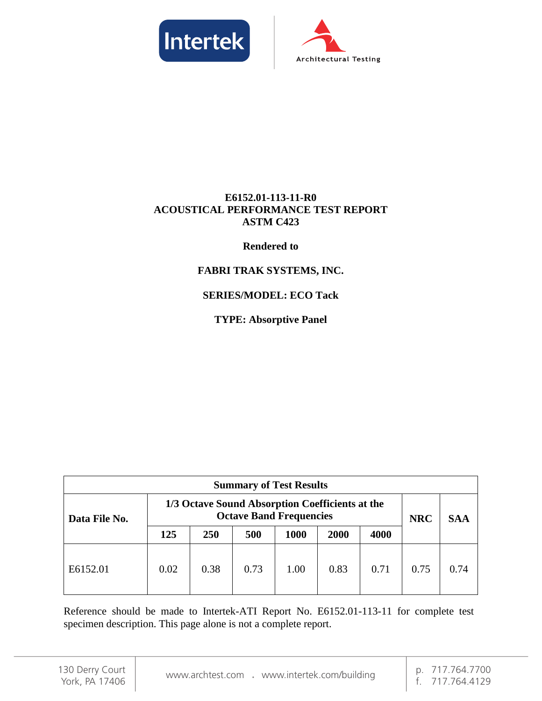



## **E6152.01-113-11-R0 ACOUSTICAL PERFORMANCE TEST REPORT ASTM C423**

### **Rendered to**

## **FABRI TRAK SYSTEMS, INC.**

## **SERIES/MODEL: ECO Tack**

**TYPE: Absorptive Panel**

| <b>Summary of Test Results</b> |                                                                                   |      |      |      |      |      |            |            |
|--------------------------------|-----------------------------------------------------------------------------------|------|------|------|------|------|------------|------------|
| Data File No.                  | 1/3 Octave Sound Absorption Coefficients at the<br><b>Octave Band Frequencies</b> |      |      |      |      |      | <b>NRC</b> | <b>SAA</b> |
|                                | 125                                                                               | 250  | 500  | 1000 | 2000 | 4000 |            |            |
| E6152.01                       | 0.02                                                                              | 0.38 | 0.73 | 1.00 | 0.83 | 0.71 | 0.75       | 0.74       |

Reference should be made to Intertek-ATI Report No. E6152.01-113-11 for complete test specimen description. This page alone is not a complete report.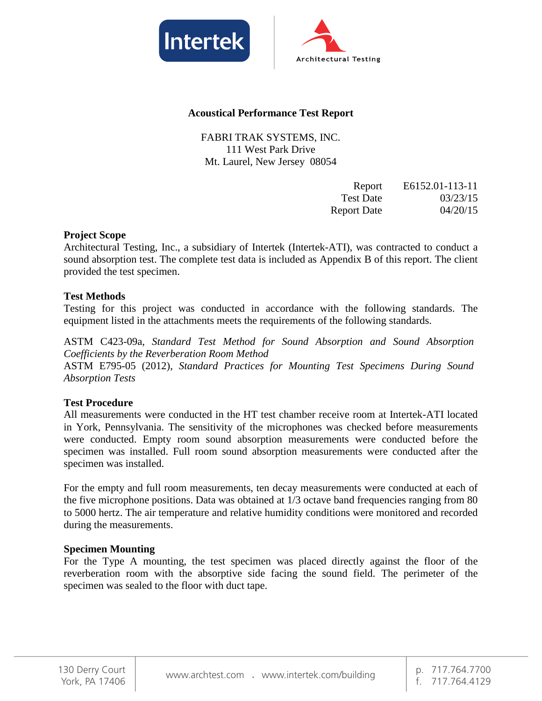



#### **Acoustical Performance Test Report**

FABRI TRAK SYSTEMS, INC. 111 West Park Drive Mt. Laurel, New Jersey 08054

| Report             | E6152.01-113-11 |
|--------------------|-----------------|
| <b>Test Date</b>   | 03/23/15        |
| <b>Report Date</b> | 04/20/15        |

#### **Project Scope**

Architectural Testing, Inc., a subsidiary of Intertek (Intertek-ATI), was contracted to conduct a sound absorption test. The complete test data is included as Appendix B of this report. The client provided the test specimen.

#### **Test Methods**

Testing for this project was conducted in accordance with the following standards. The equipment listed in the attachments meets the requirements of the following standards.

ASTM C423-09a, *Standard Test Method for Sound Absorption and Sound Absorption Coefficients by the Reverberation Room Method* ASTM E795-05 (2012), *Standard Practices for Mounting Test Specimens During Sound Absorption Tests* 

#### **Test Procedure**

All measurements were conducted in the HT test chamber receive room at Intertek-ATI located in York, Pennsylvania. The sensitivity of the microphones was checked before measurements were conducted. Empty room sound absorption measurements were conducted before the specimen was installed. Full room sound absorption measurements were conducted after the specimen was installed.

For the empty and full room measurements, ten decay measurements were conducted at each of the five microphone positions. Data was obtained at 1/3 octave band frequencies ranging from 80 to 5000 hertz. The air temperature and relative humidity conditions were monitored and recorded during the measurements.

#### **Specimen Mounting**

For the Type A mounting, the test specimen was placed directly against the floor of the reverberation room with the absorptive side facing the sound field. The perimeter of the specimen was sealed to the floor with duct tape.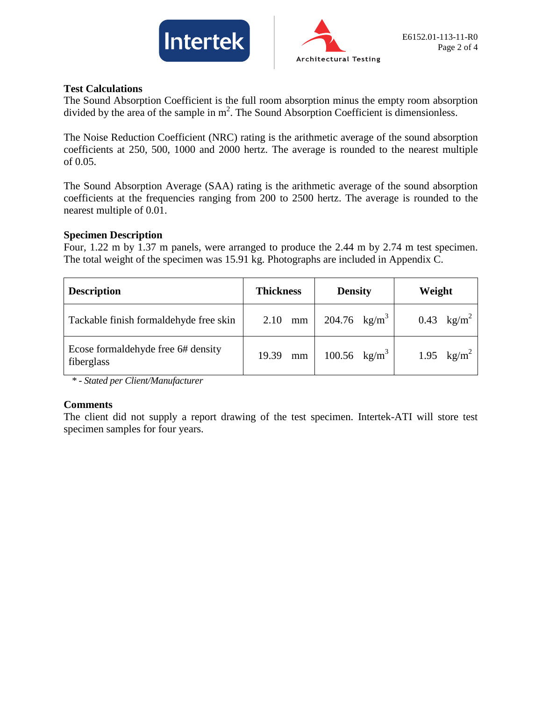



#### **Test Calculations**

The Sound Absorption Coefficient is the full room absorption minus the empty room absorption divided by the area of the sample in  $m^2$ . The Sound Absorption Coefficient is dimensionless.

The Noise Reduction Coefficient (NRC) rating is the arithmetic average of the sound absorption coefficients at 250, 500, 1000 and 2000 hertz. The average is rounded to the nearest multiple of 0.05.

The Sound Absorption Average (SAA) rating is the arithmetic average of the sound absorption coefficients at the frequencies ranging from 200 to 2500 hertz. The average is rounded to the nearest multiple of 0.01.

#### **Specimen Description**

Four, 1.22 m by 1.37 m panels, were arranged to produce the 2.44 m by 2.74 m test specimen. The total weight of the specimen was 15.91 kg. Photographs are included in Appendix C.

| <b>Description</b>                               | <b>Thickness</b> | <b>Density</b>         | Weight               |
|--------------------------------------------------|------------------|------------------------|----------------------|
| Tackable finish formaldehyde free skin           | 2.10<br>mm       | 204.76 $\text{kg/m}^3$ | 0.43 $\text{kg/m}^2$ |
| Ecose formaldehyde free 6# density<br>fiberglass | 19.39<br>mm      | 100.56 $\text{kg/m}^3$ | 1.95 $\text{kg/m}^2$ |

*\* - Stated per Client/Manufacturer*

#### **Comments**

The client did not supply a report drawing of the test specimen. Intertek-ATI will store test specimen samples for four years.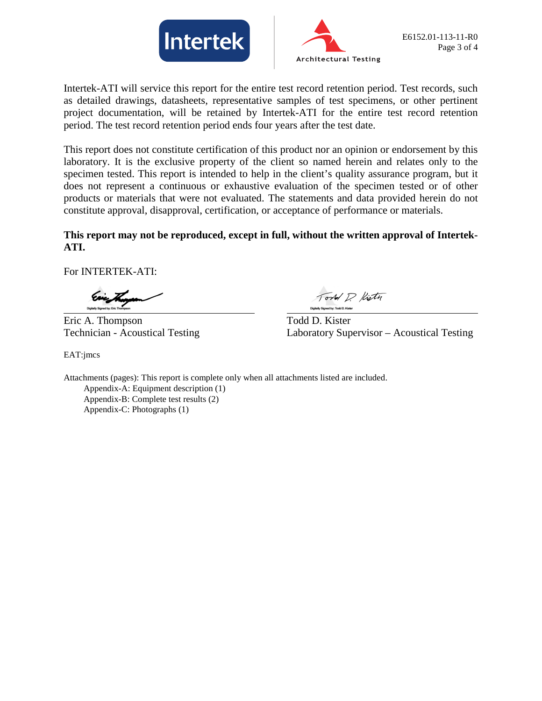



Intertek-ATI will service this report for the entire test record retention period. Test records, such as detailed drawings, datasheets, representative samples of test specimens, or other pertinent project documentation, will be retained by Intertek-ATI for the entire test record retention period. The test record retention period ends four years after the test date.

This report does not constitute certification of this product nor an opinion or endorsement by this laboratory. It is the exclusive property of the client so named herein and relates only to the specimen tested. This report is intended to help in the client's quality assurance program, but it does not represent a continuous or exhaustive evaluation of the specimen tested or of other products or materials that were not evaluated. The statements and data provided herein do not constitute approval, disapproval, certification, or acceptance of performance or materials.

### **This report may not be reproduced, except in full, without the written approval of Intertek-ATI.**

For INTERTEK-ATI:

Eric A. Thompson Todd D. Kister

EAT:jmcs

ord P. Kistn

Technician - Acoustical Testing Laboratory Supervisor – Acoustical Testing

Attachments (pages): This report is complete only when all attachments listed are included. Appendix-A: Equipment description (1) Appendix-B: Complete test results (2) Appendix-C: Photographs (1)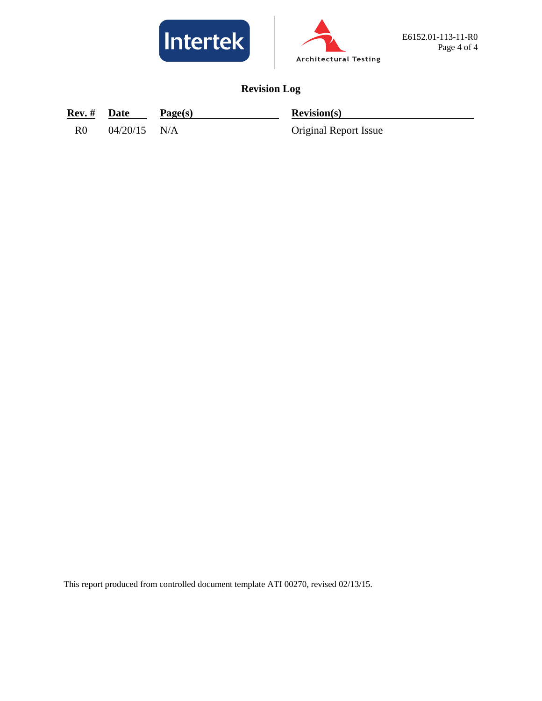



# **Revision Log**

| Rev. #         | Date           | Page(s) | Revision(s)           |
|----------------|----------------|---------|-----------------------|
| R <sub>0</sub> | $04/20/15$ N/A |         | Original Report Issue |

This report produced from controlled document template ATI 00270, revised 02/13/15.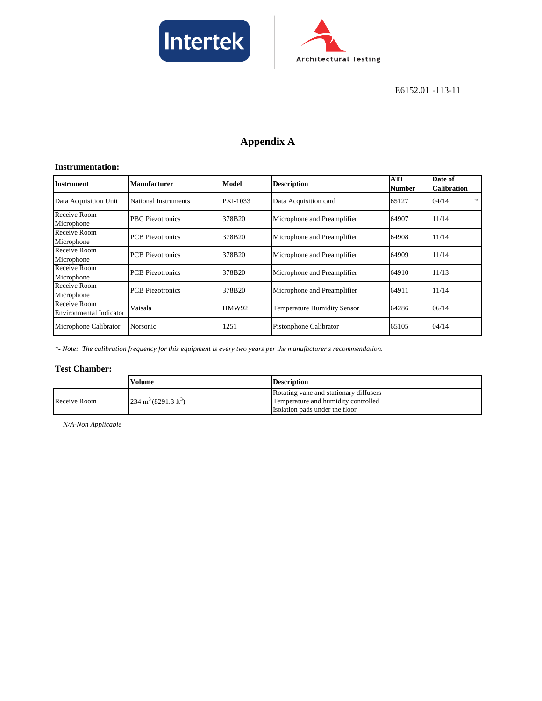



E6152.01 -113-11

# **Appendix A**

#### **Instrumentation:**

| <b>Instrument</b>                              | Manufacturer            | Model        | <b>Description</b>                 | <b>ATI</b><br><b>Number</b> | Date of<br><b>Calibration</b> |
|------------------------------------------------|-------------------------|--------------|------------------------------------|-----------------------------|-------------------------------|
| Data Acquisition Unit                          | National Instruments    | PXI-1033     | Data Acquisition card              | 65127                       | $\ast$<br>04/14               |
| Receive Room<br>Microphone                     | PBC Piezotronics        | 378B20       | Microphone and Preamplifier        | 64907                       | 11/14                         |
| Receive Room<br>Microphone                     | <b>PCB</b> Piezotronics | 378B20       | Microphone and Preamplifier        | 64908                       | 11/14                         |
| Receive Room<br>Microphone                     | <b>PCB</b> Piezotronics | 378B20       | Microphone and Preamplifier        | 64909                       | 11/14                         |
| Receive Room<br>Microphone                     | <b>PCB</b> Piezotronics | 378B20       | Microphone and Preamplifier        | 64910                       | 11/13                         |
| Receive Room<br>Microphone                     | <b>PCB</b> Piezotronics | 378B20       | Microphone and Preamplifier        | 64911                       | 11/14                         |
| Receive Room<br><b>Environmental Indicator</b> | Vaisala                 | <b>HMW92</b> | <b>Temperature Humidity Sensor</b> | 64286                       | 06/14                         |
| Microphone Calibrator                          | Norsonic                | 1251         | Pistonphone Calibrator             | 65105                       | 04/14                         |

*\*- Note: The calibration frequency for this equipment is every two years per the manufacturer's recommendation.*

#### **Test Chamber:**

|              | Volume                                  | <b>Description</b>                     |
|--------------|-----------------------------------------|----------------------------------------|
| Receive Room |                                         | Rotating vane and stationary diffusers |
|              | $234 \text{ m}^3 (8291.3 \text{ ft}^3)$ | Temperature and humidity controlled    |
|              |                                         | Isolation pads under the floor         |

*N/A-Non Applicable*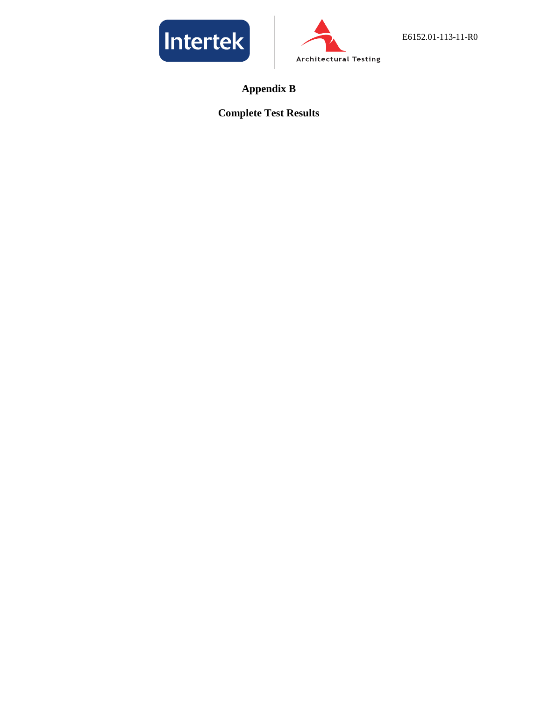



**Appendix B**

# **Complete Test Results**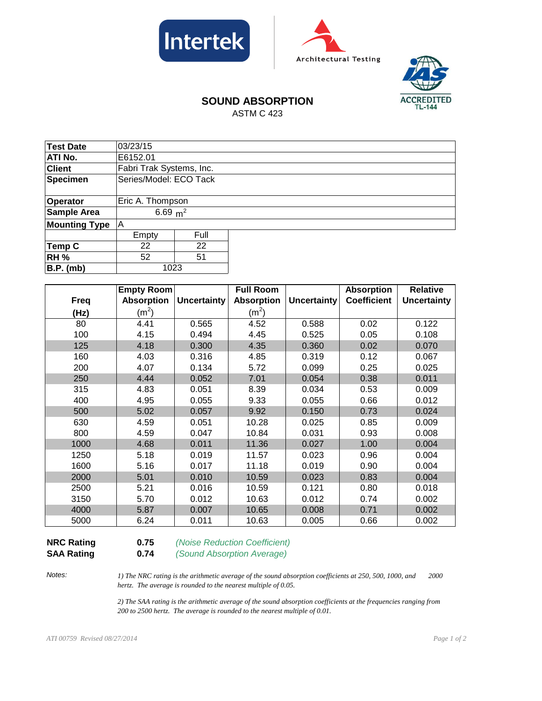





# **SOUND ABSORPTION**

ASTM C 423

| <b>Test Date</b>     | 03/23/15                 |                  |  |  |  |
|----------------------|--------------------------|------------------|--|--|--|
| ATI No.              | E6152.01                 |                  |  |  |  |
| <b>Client</b>        | Fabri Trak Systems, Inc. |                  |  |  |  |
| <b>Specimen</b>      | Series/Model: ECO Tack   |                  |  |  |  |
|                      |                          |                  |  |  |  |
| Operator             |                          | Eric A. Thompson |  |  |  |
| <b>Sample Area</b>   | 6.69 $m^2$               |                  |  |  |  |
| <b>Mounting Type</b> | A                        |                  |  |  |  |
|                      | Empty                    | Full             |  |  |  |
| Temp C               | 22                       | 22               |  |  |  |
| <b>RH %</b>          | 52                       | 51               |  |  |  |
| <b>B.P.</b> (mb)     | 1023                     |                  |  |  |  |

|             | <b>Empty Room</b> |                    | <b>Full Room</b>  |                    | <b>Absorption</b>  | <b>Relative</b>    |
|-------------|-------------------|--------------------|-------------------|--------------------|--------------------|--------------------|
| <b>Freq</b> | <b>Absorption</b> | <b>Uncertainty</b> | <b>Absorption</b> | <b>Uncertainty</b> | <b>Coefficient</b> | <b>Uncertainty</b> |
| (Hz)        | (m <sup>2</sup> ) |                    | (m <sup>2</sup> ) |                    |                    |                    |
| 80          | 4.41              | 0.565              | 4.52              | 0.588              | 0.02               | 0.122              |
| 100         | 4.15              | 0.494              | 4.45              | 0.525              | 0.05               | 0.108              |
| 125         | 4.18              | 0.300              | 4.35              | 0.360              | 0.02               | 0.070              |
| 160         | 4.03              | 0.316              | 4.85              | 0.319              | 0.12               | 0.067              |
| 200         | 4.07              | 0.134              | 5.72              | 0.099              | 0.25               | 0.025              |
| 250         | 4.44              | 0.052              | 7.01              | 0.054              | 0.38               | 0.011              |
| 315         | 4.83              | 0.051              | 8.39              | 0.034              | 0.53               | 0.009              |
| 400         | 4.95              | 0.055              | 9.33              | 0.055              | 0.66               | 0.012              |
| 500         | 5.02              | 0.057              | 9.92              | 0.150              | 0.73               | 0.024              |
| 630         | 4.59              | 0.051              | 10.28             | 0.025              | 0.85               | 0.009              |
| 800         | 4.59              | 0.047              | 10.84             | 0.031              | 0.93               | 0.008              |
| 1000        | 4.68              | 0.011              | 11.36             | 0.027              | 1.00               | 0.004              |
| 1250        | 5.18              | 0.019              | 11.57             | 0.023              | 0.96               | 0.004              |
| 1600        | 5.16              | 0.017              | 11.18             | 0.019              | 0.90               | 0.004              |
| 2000        | 5.01              | 0.010              | 10.59             | 0.023              | 0.83               | 0.004              |
| 2500        | 5.21              | 0.016              | 10.59             | 0.121              | 0.80               | 0.018              |
| 3150        | 5.70              | 0.012              | 10.63             | 0.012              | 0.74               | 0.002              |
| 4000        | 5.87              | 0.007              | 10.65             | 0.008              | 0.71               | 0.002              |
| 5000        | 6.24              | 0.011              | 10.63             | 0.005              | 0.66               | 0.002              |

**NRC Rating 0.75** *(Noise Reduction Coefficient)*

**SAA Rating 0.74** *(Sound Absorption Average)*

*Notes:*

*1) The NRC rating is the arithmetic average of the sound absorption coefficients at 250, 500, 1000, and 2000 hertz. The average is rounded to the nearest multiple of 0.05.*

*2) The SAA rating is the arithmetic average of the sound absorption coefficients at the frequencies ranging from 200 to 2500 hertz. The average is rounded to the nearest multiple of 0.01.*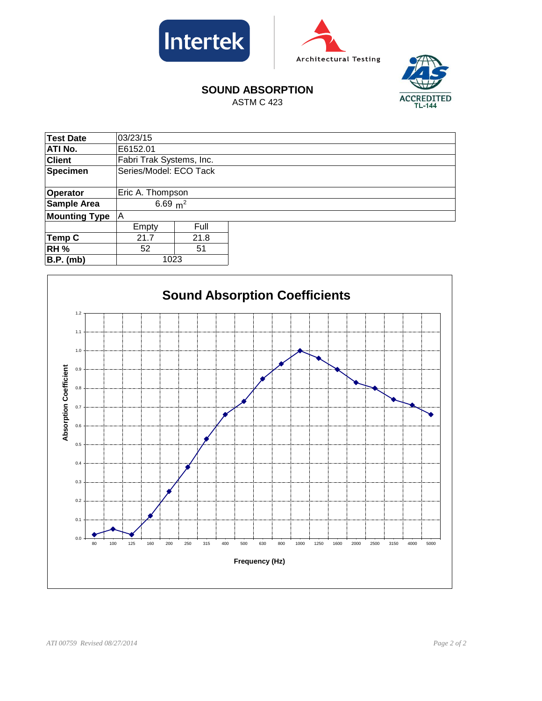





# **SOUND ABSORPTION**

ASTM C 423

| <b>Test Date</b>     | 03/23/15                 |                  |  |  |  |
|----------------------|--------------------------|------------------|--|--|--|
| ATI No.              | E6152.01                 |                  |  |  |  |
| <b>Client</b>        | Fabri Trak Systems, Inc. |                  |  |  |  |
| <b>Specimen</b>      | Series/Model: ECO Tack   |                  |  |  |  |
|                      |                          |                  |  |  |  |
| Operator             |                          | Eric A. Thompson |  |  |  |
| <b>Sample Area</b>   | 6.69 $m^2$               |                  |  |  |  |
| <b>Mounting Type</b> | ΙA                       |                  |  |  |  |
|                      | Empty                    | Full             |  |  |  |
| Temp C               | 21.7                     | 21.8             |  |  |  |
| <b>RH %</b>          | 52                       | 51               |  |  |  |
| <b>B.P.</b> (mb)     | 1023                     |                  |  |  |  |